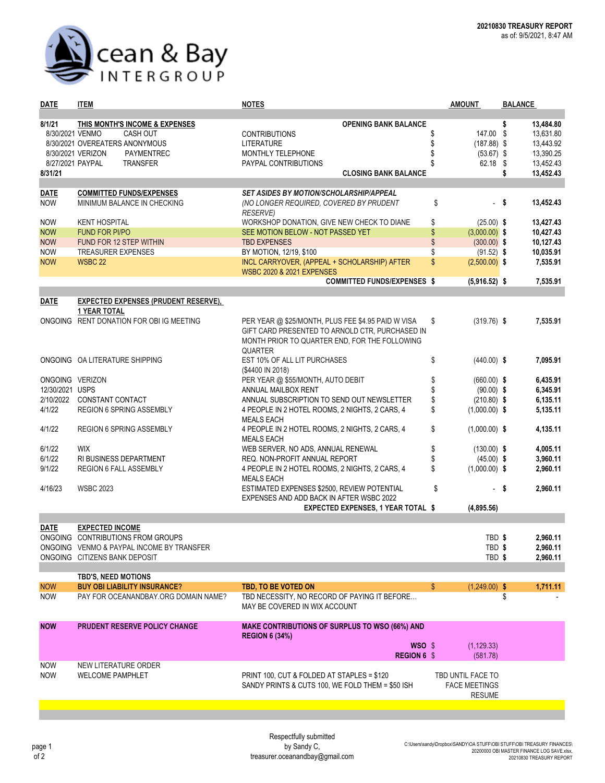

| <b>DATE</b>      | <b>ITEM</b>                                 | NOTES                                                      | <b>AMOUNT</b>                              | <b>BALANCE</b>    |  |  |
|------------------|---------------------------------------------|------------------------------------------------------------|--------------------------------------------|-------------------|--|--|
|                  |                                             |                                                            |                                            |                   |  |  |
| 8/1/21           | THIS MONTH'S INCOME & EXPENSES              | <b>OPENING BANK BALANCE</b>                                |                                            | 13,484.80<br>\$   |  |  |
| 8/30/2021 VENMO  | CASH OUT                                    | <b>CONTRIBUTIONS</b>                                       | 147.00<br>\$                               | 13,631.80<br>\$   |  |  |
|                  | 8/30/2021 OVEREATERS ANONYMOUS              | <b>LITERATURE</b>                                          | $(187.88)$ \$<br>\$                        | 13,443.92         |  |  |
|                  | 8/30/2021 VERIZON<br><b>PAYMENTREC</b>      | MONTHLY TELEPHONE                                          | $(53.67)$ \$                               | 13,390.25         |  |  |
| 8/27/2021 PAYPAL | <b>TRANSFER</b>                             | PAYPAL CONTRIBUTIONS                                       | 62.18 \$                                   | 13,452.43         |  |  |
| 8/31/21          |                                             | <b>CLOSING BANK BALANCE</b>                                |                                            | 13,452.43<br>\$   |  |  |
|                  |                                             |                                                            |                                            |                   |  |  |
| DATE             | <b>COMMITTED FUNDS/EXPENSES</b>             | <b>SET ASIDES BY MOTION/SCHOLARSHIP/APPEAL</b>             |                                            |                   |  |  |
| <b>NOW</b>       | MINIMUM BALANCE IN CHECKING                 | (NO LONGER REQUIRED, COVERED BY PRUDENT<br><b>RESERVE)</b> | \$                                         | - \$<br>13,452.43 |  |  |
| <b>NOW</b>       | <b>KENT HOSPITAL</b>                        | WORKSHOP DONATION, GIVE NEW CHECK TO DIANE                 | \$<br>$(25.00)$ \$                         | 13,427.43         |  |  |
| <b>NOW</b>       | <b>FUND FOR PI/PO</b>                       | SEE MOTION BELOW - NOT PASSED YET                          | \$<br>$(3,000.00)$ \$                      | 10,427.43         |  |  |
| <b>NOW</b>       | FUND FOR 12 STEP WITHIN                     | <b>TBD EXPENSES</b>                                        | \$<br>$(300.00)$ \$                        | 10,127.43         |  |  |
| <b>NOW</b>       | <b>TREASURER EXPENSES</b>                   | BY MOTION, 12/19, \$100                                    | \$<br>$(91.52)$ \$                         | 10,035.91         |  |  |
| <b>NOW</b>       | <b>WSBC 22</b>                              | INCL CARRYOVER, (APPEAL + SCHOLARSHIP) AFTER               | \$<br>$(2,500.00)$ \$                      | 7,535.91          |  |  |
|                  |                                             | <b>WSBC 2020 &amp; 2021 EXPENSES</b>                       |                                            |                   |  |  |
|                  |                                             | <b>COMMITTED FUNDS/EXPENSES \$</b>                         | $(5,916.52)$ \$                            | 7,535.91          |  |  |
| DATE             | <b>EXPECTED EXPENSES (PRUDENT RESERVE),</b> |                                                            |                                            |                   |  |  |
|                  | <b>1 YEAR TOTAL</b>                         |                                                            |                                            |                   |  |  |
|                  | ONGOING RENT DONATION FOR OBI IG MEETING    | PER YEAR @ \$25/MONTH, PLUS FEE \$4.95 PAID W VISA         | \$<br>$(319.76)$ \$                        | 7,535.91          |  |  |
|                  |                                             | GIFT CARD PRESENTED TO ARNOLD CTR, PURCHASED IN            |                                            |                   |  |  |
|                  |                                             | MONTH PRIOR TO QUARTER END, FOR THE FOLLOWING              |                                            |                   |  |  |
|                  |                                             | QUARTER                                                    |                                            |                   |  |  |
|                  | ONGOING OA LITERATURE SHIPPING              | EST 10% OF ALL LIT PURCHASES                               | \$<br>$(440.00)$ \$                        | 7,095.91          |  |  |
|                  |                                             | (\$4400 IN 2018)                                           |                                            |                   |  |  |
| ONGOING VERIZON  |                                             | PER YEAR @ \$55/MONTH, AUTO DEBIT                          | \$<br>$(660.00)$ \$                        | 6,435.91          |  |  |
| 12/30/2021 USPS  |                                             | ANNUAL MAILBOX RENT                                        | \$<br>$(90.00)$ \$                         | 6,345.91          |  |  |
|                  | 2/10/2022 CONSTANT CONTACT                  | ANNUAL SUBSCRIPTION TO SEND OUT NEWSLETTER                 | \$<br>$(210.80)$ \$                        | 6,135.11          |  |  |
|                  |                                             |                                                            |                                            |                   |  |  |
| 4/1/22           | <b>REGION 6 SPRING ASSEMBLY</b>             | 4 PEOPLE IN 2 HOTEL ROOMS, 2 NIGHTS, 2 CARS, 4             | \$<br>$(1,000.00)$ \$                      | 5,135.11          |  |  |
|                  |                                             | <b>MEALS EACH</b>                                          |                                            |                   |  |  |
| 4/1/22           | <b>REGION 6 SPRING ASSEMBLY</b>             | 4 PEOPLE IN 2 HOTEL ROOMS, 2 NIGHTS, 2 CARS, 4             | \$<br>$(1,000.00)$ \$                      | 4,135.11          |  |  |
|                  |                                             | <b>MEALS EACH</b>                                          |                                            |                   |  |  |
| 6/1/22           | <b>WIX</b>                                  | WEB SERVER, NO ADS, ANNUAL RENEWAL                         | \$<br>$(130.00)$ \$                        | 4,005.11          |  |  |
| 6/1/22           | <b>RI BUSINESS DEPARTMENT</b>               | REQ. NON-PROFIT ANNUAL REPORT                              | \$<br>$(45.00)$ \$                         | 3,960.11          |  |  |
| 9/1/22           | <b>REGION 6 FALL ASSEMBLY</b>               | 4 PEOPLE IN 2 HOTEL ROOMS, 2 NIGHTS, 2 CARS, 4             | \$<br>$(1,000.00)$ \$                      | 2,960.11          |  |  |
|                  |                                             | <b>MEALS EACH</b>                                          |                                            |                   |  |  |
| 4/16/23          | <b>WSBC 2023</b>                            | ESTIMATED EXPENSES \$2500, REVIEW POTENTIAL                | \$                                         | 2.960.11<br>- \$  |  |  |
|                  |                                             | EXPENSES AND ADD BACK IN AFTER WSBC 2022                   |                                            |                   |  |  |
|                  |                                             | <b>EXPECTED EXPENSES, 1 YEAR TOTAL \$</b>                  | (4,895.56)                                 |                   |  |  |
| <b>DATE</b>      | <b>EXPECTED INCOME</b>                      |                                                            |                                            |                   |  |  |
|                  | ONGOING CONTRIBUTIONS FROM GROUPS           |                                                            | TBD \$                                     | 2,960.11          |  |  |
|                  |                                             |                                                            |                                            |                   |  |  |
|                  | ONGOING VENMO & PAYPAL INCOME BY TRANSFER   |                                                            | TBD \$                                     | 2,960.11          |  |  |
|                  | ONGOING CITIZENS BANK DEPOSIT               |                                                            | TBD \$                                     | 2,960.11          |  |  |
|                  | <b>TBD'S, NEED MOTIONS</b>                  |                                                            |                                            |                   |  |  |
| <b>NOW</b>       | <b>BUY OBI LIABILITY INSURANCE?</b>         | TBD, TO BE VOTED ON                                        | $\sqrt[6]{\frac{1}{2}}$<br>$(1,249.00)$ \$ | 1,711.11          |  |  |
| <b>NOW</b>       | PAY FOR OCEANANDBAY.ORG DOMAIN NAME?        | TBD NECESSITY, NO RECORD OF PAYING IT BEFORE               |                                            | \$                |  |  |
|                  |                                             | MAY BE COVERED IN WIX ACCOUNT                              |                                            |                   |  |  |
|                  |                                             |                                                            |                                            |                   |  |  |
| <b>NOW</b>       | <b>PRUDENT RESERVE POLICY CHANGE</b>        | <b>MAKE CONTRIBUTIONS OF SURPLUS TO WSO (66%) AND</b>      |                                            |                   |  |  |
|                  |                                             | <b>REGION 6 (34%)</b>                                      |                                            |                   |  |  |
|                  |                                             | WSO \$                                                     | (1, 129.33)                                |                   |  |  |
|                  |                                             | <b>REGION 6 \$</b>                                         | (581.78)                                   |                   |  |  |
| <b>NOW</b>       | NEW LITERATURE ORDER                        |                                                            |                                            |                   |  |  |
| <b>NOW</b>       | <b>WELCOME PAMPHLET</b>                     | PRINT 100, CUT & FOLDED AT STAPLES = \$120                 | TBD UNTIL FACE TO                          |                   |  |  |
|                  |                                             | SANDY PRINTS & CUTS 100, WE FOLD THEM = \$50 ISH           | <b>FACE MEETINGS</b>                       |                   |  |  |
|                  |                                             |                                                            | <b>RESUME</b>                              |                   |  |  |
|                  |                                             |                                                            |                                            |                   |  |  |
|                  |                                             |                                                            |                                            |                   |  |  |